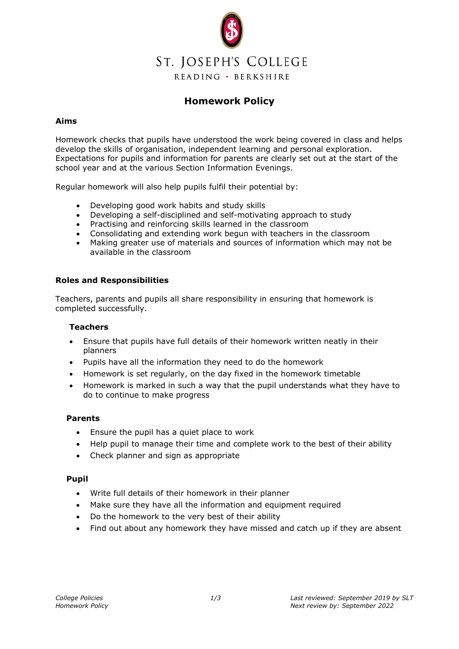

# **Homework Policy**

## **Aims**

Homework checks that pupils have understood the work being covered in class and helps develop the skills of organisation, independent learning and personal exploration. Expectations for pupils and information for parents are clearly set out at the start of the school year and at the various Section Information Evenings.

Regular homework will also help pupils fulfil their potential by:

- Developing good work habits and study skills
- Developing a self-disciplined and self-motivating approach to study
- Practising and reinforcing skills learned in the classroom
- Consolidating and extending work begun with teachers in the classroom
- Making greater use of materials and sources of information which may not be available in the classroom

## **Roles and Responsibilities**

Teachers, parents and pupils all share responsibility in ensuring that homework is completed successfully.

#### **Teachers**

- Ensure that pupils have full details of their homework written neatly in their planners
- Pupils have all the information they need to do the homework
- Homework is set regularly, on the day fixed in the homework timetable
- Homework is marked in such a way that the pupil understands what they have to do to continue to make progress

#### **Parents**

- Ensure the pupil has a quiet place to work
- Help pupil to manage their time and complete work to the best of their ability
- Check planner and sign as appropriate

#### **Pupil**

- Write full details of their homework in their planner
- Make sure they have all the information and equipment required
- Do the homework to the very best of their ability
- Find out about any homework they have missed and catch up if they are absent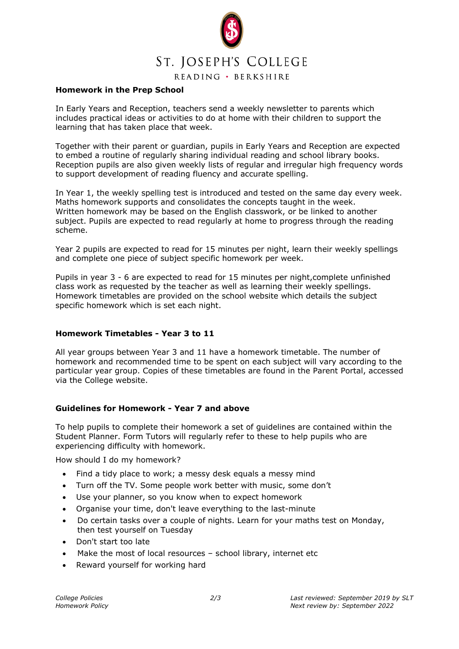

READING · BERKSHIRE

#### **Homework in the Prep School**

In Early Years and Reception, teachers send a weekly newsletter to parents which includes practical ideas or activities to do at home with their children to support the learning that has taken place that week.

Together with their parent or guardian, pupils in Early Years and Reception are expected to embed a routine of regularly sharing individual reading and school library books. Reception pupils are also given weekly lists of regular and irregular high frequency words to support development of reading fluency and accurate spelling.

In Year 1, the weekly spelling test is introduced and tested on the same day every week. Maths homework supports and consolidates the concepts taught in the week. Written homework may be based on the English classwork, or be linked to another subject. Pupils are expected to read regularly at home to progress through the reading scheme.

Year 2 pupils are expected to read for 15 minutes per night, learn their weekly spellings and complete one piece of subject specific homework per week.

Pupils in year 3 - 6 are expected to read for 15 minutes per night,complete unfinished class work as requested by the teacher as well as learning their weekly spellings. Homework timetables are provided on the school website which details the subject specific homework which is set each night.

# **Homework Timetables - Year 3 to 11**

All year groups between Year 3 and 11 have a homework timetable. The number of homework and recommended time to be spent on each subject will vary according to the particular year group. Copies of these timetables are found in the Parent Portal, accessed via the College website.

# **Guidelines for Homework - Year 7 and above**

To help pupils to complete their homework a set of guidelines are contained within the Student Planner. Form Tutors will regularly refer to these to help pupils who are experiencing difficulty with homework.

How should I do my homework?

- Find a tidy place to work; a messy desk equals a messy mind
- Turn off the TV. Some people work better with music, some don't
- Use your planner, so you know when to expect homework
- Organise your time, don't leave everything to the last-minute
- Do certain tasks over a couple of nights. Learn for your maths test on Monday, then test yourself on Tuesday
- Don't start too late
- Make the most of local resources school library, internet etc
- Reward yourself for working hard